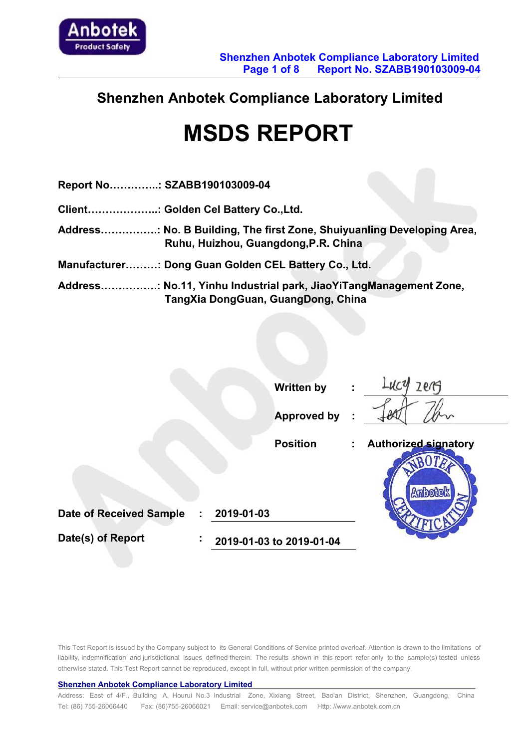

## **Shenzhen Anbotek Compliance Laboratory Limited**

# **MSDS REPORT**

| Report No: SZABB190103009-04                                                                                   |
|----------------------------------------------------------------------------------------------------------------|
| Client: Golden Cel Battery Co.,Ltd.                                                                            |
| Address: No. B Building, The first Zone, Shuiyuanling Developing Area,<br>Ruhu, Huizhou, Guangdong, P.R. China |
| Manufacturer: Dong Guan Golden CEL Battery Co., Ltd.                                                           |
| Address: No.11, Yinhu Industrial park, JiaoYiTangManagement Zone,<br>TangXia DongGuan, GuangDong, China        |

|                                | <b>Written by</b>             | zerg<br>÷                                            |
|--------------------------------|-------------------------------|------------------------------------------------------|
|                                | <b>Approved by</b>            | $\sim$                                               |
|                                | <b>Position</b>               | <b>Authorized signatory</b><br>$\mathbb{Z}^{\times}$ |
| <b>Date of Received Sample</b> | 2019-01-03<br>÷               | <b>Anbotek</b>                                       |
|                                |                               |                                                      |
| Date(s) of Report              | ÷<br>2019-01-03 to 2019-01-04 |                                                      |

This Test Report is issued by the Company subject to its General Conditions of Service printed overleaf. Attention is drawn to the limitations of liability, indemnification and jurisdictional issues defined therein. The results shown in this report refer only to the sample(s) tested unless otherwise stated. This Test Report cannot be reproduced, except in full, withoutprior written permission of the company.

#### **Shenzhen Anbotek Compliance Laboratory Limited**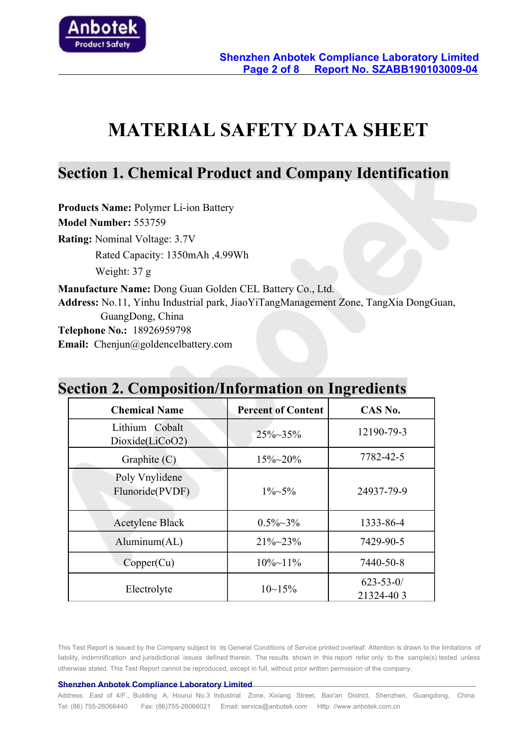

# **MATERIAL SAFETY DATA SHEET**

### **Section 1. Chemical Product and Company Identification**

**Products Name:** Polymer Li-ion Battery **Model Number:** 553759 **Rating:** Nominal Voltage: 3.7V Rated Capacity: 1350mAh ,4.99Wh Weight: 37 g **Manufacture Name:** Dong Guan Golden CEL Battery Co., Ltd. **Address:** No.11, Yinhu Industrial park, JiaoYiTangManagement Zone, TangXia DongGuan, GuangDong, China **Telephone No.:**18926959798 **Email:** Chenjun@goldencelbattery.com

|                                   |                           | $\mathbf{\sigma}$            |
|-----------------------------------|---------------------------|------------------------------|
| <b>Chemical Name</b>              | <b>Percent of Content</b> | CAS No.                      |
| Lithium Cobalt<br>Dioxide(LiCoO2) | $25\% \sim 35\%$          | 12190-79-3                   |
| Graphite $(C)$                    | $15\% - 20\%$             | 7782-42-5                    |
| Poly Vnylidene<br>Flunoride(PVDF) | $1\% - 5\%$               | 24937-79-9                   |
| <b>Acetylene Black</b>            | $0.5\% \sim 3\%$          | 1333-86-4                    |
| Aluminum(AL)                      | $21\% \sim 23\%$          | 7429-90-5                    |
| Copper(Cu)                        | $10\% \sim 11\%$          | 7440-50-8                    |
| Electrolyte                       | $10 - 15%$                | $623 - 53 - 0/$<br>21324-403 |

# **Section 2. Composition/Information on Ingredients**

This Test Report is issued by the Company subject to its General Conditions of Service printed overleaf. Attention is drawn to the limitations of liability, indemnification and jurisdictional issues defined therein. The results shown in this report refer only to the sample(s) tested unless otherwise stated. This Test Report cannot be reproduced, except in full, withoutprior written permission of the company.

#### **Shenzhen Anbotek Compliance Laboratory Limited**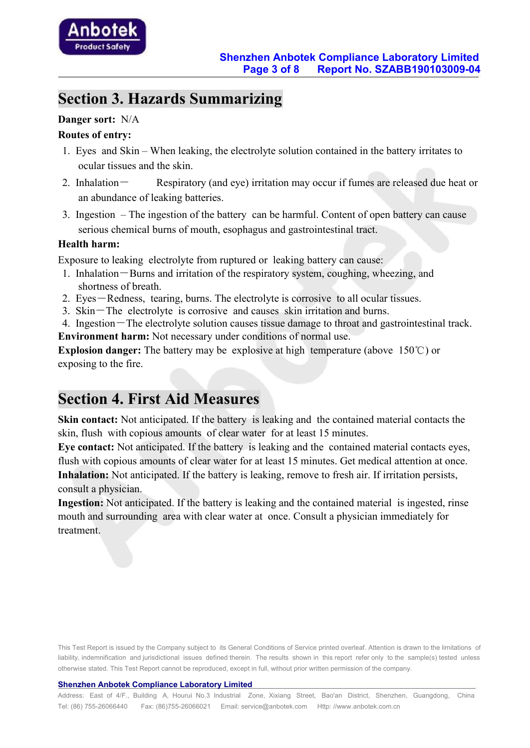# **Section 3. Hazards Summarizing**

#### **Danger sort:** N/A

#### **Routes** of entry:

- 1. Eyes and Skin When leaking, the electrolyte solution contained in the battery irritates to ocular tissues and the skin.
- 2. Inhalation Respiratory (and eye) irritation may occur if fumes are released due heat or an abundance of leaking batteries.
- 3. Ingestion The ingestion of the battery can be harmful.Content of open battery can cause serious chemical burns of mouth, esophagus and gastrointestinal tract.

#### **Health harm:**

Exposure to leaking electrolyte from ruptured or leaking battery can cause:

- 1. Inhalation-Burns and irritation of the respiratory system, coughing, wheezing, and shortness of breath.
- 2. Eyes-Redness, tearing, burns. The electrolyte is corrosive to all ocular tissues.
- 3. Skin-The electrolyte is corrosive and causes skin irritation and burns.
- 4. Ingestion-The electrolyte solution causes tissue damage to throat and gastrointestinal track.

**Environment harm:** Not necessary under conditions of normal use.

**Explosion danger:** The battery may be explosive at high temperature (above 150℃) or exposing to the fire.

### **Section 4. First Aid Measures**

**Skin contact:** Not anticipated. If the battery is leaking and the contained material contacts the skin, flush with copious amounts of clear water for at least 15 minutes.

**Eye contact:** Not anticipated. If the battery is leaking and the contained material contacts eyes, flush with copious amounts of clear water for at least 15 minutes. Get medical attention at once. **Inhalation:** Not anticipated. If the battery is leaking, remove to fresh air. If irritation persists, consult a physician.

**Ingestion:** Not anticipated. If the battery is leaking and the contained material is ingested, rinse mouth and surrounding area with clear water at once. Consult a physician immediately for treatment.

This Test Report is issued by the Company subject to its General Conditions of Service printed overleaf. Attention is drawn to the limitations of liability, indemnification and jurisdictional issues defined therein. The results shown in this report refer only to the sample(s) tested unless otherwise stated. This Test Report cannot be reproduced, except in full, withoutprior written permission of the company.

#### **Shenzhen Anbotek Compliance Laboratory Limited**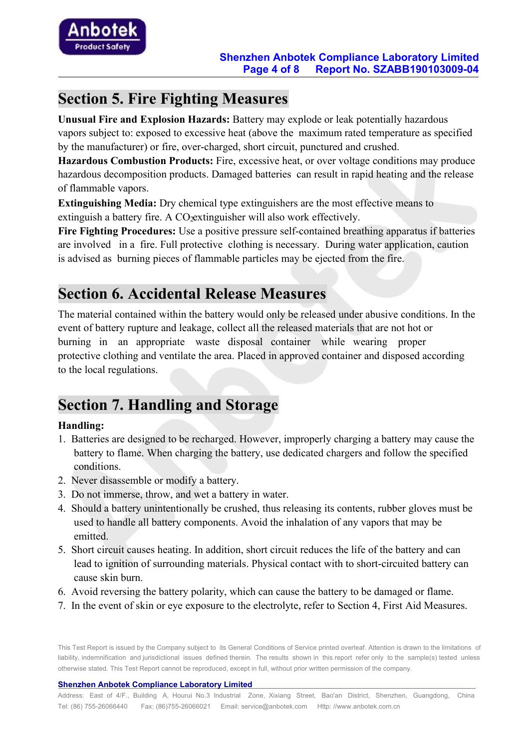

## **Section 5. Fire Fighting Measures**

**Unusual Fire and Explosion Hazards:** Battery may explode or leak potentially hazardous vapors subject to: exposed to excessive heat (above the maximum rated temperature as specified by the manufacturer) or fire, over-charged, short circuit, punctured and crushed.

**Hazardous Combustion Products:** Fire, excessive heat, or over voltage conditions may produce hazardous decomposition products. Damaged batteries can result in rapid heating and the release of flammable vapors.

**Extinguishing Media:** Dry chemical type extinguishers are the most effective means to extinguish a battery fire. A CO extinguisher will also work effectively.

**Fire Fighting Procedures:** Use a positive pressure self-contained breathing apparatus if batteries are involved in a fire. Full protective clothing is necessary. During water application, caution is advised as burning pieces of flammable particles may be ejected from the fire.

# **Section 6. Accidental Release Measures**

The material contained within the battery would only be released under abusive conditions. In the event of battery rupture and leakage, collect all the released materials that are not hot or burning in an appropriate waste disposal container while wearing proper protective clothing and ventilate the area. Placed in approved container and disposed according to the local regulations.

# **Section 7. Handling and Storage**

#### **Handling:**

- 1. Batteries are designed to be recharged. However, improperly charging a battery may cause the battery to flame. When charging the battery, use dedicated chargers and follow the specified conditions.
- 2. Never disassemble or modify a battery.
- 3. Do not immerse, throw, and wet a battery in water.
- 4. Should a battery unintentionally be crushed, thus releasing its contents, rubber gloves must be used to handle all battery components. Avoid the inhalation of any vapors that may be emitted.
- 5. Short circuit causes heating. In addition, short circuit reduces the life of the battery and can lead to ignition of surrounding materials. Physical contact with to short-circuited battery can cause skin burn.
- 6. Avoid reversing the battery polarity, which can cause the battery to be damaged or flame.
- 7. In the event of skin or eye exposure to the electrolyte, refer to Section 4, First Aid Measures.

This Test Report is issued by the Company subject to its General Conditions of Service printed overleaf. Attention is drawn to the limitations of liability, indemnification and jurisdictional issues defined therein. The results shown in this report refer only to the sample(s) tested unless otherwise stated. This Test Report cannot be reproduced, except in full, without prior written permission of the company.

**Shenzhen Anbotek Compliance Laboratory Limited**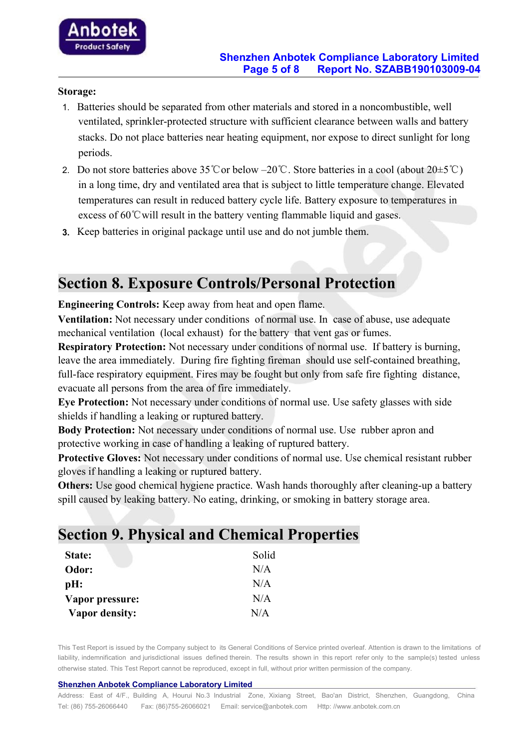#### **Storage:**

- 1. Batteries should be separated from other materials and stored in a noncombustible, well ventilated, sprinkler-protected structure with sufficient clearance between walls and battery stacks. Do not place batteries near heating equipment, nor expose to direct sunlight for long periods.
- 2. Do not store batteries above 35℃or below –20℃. Store batteries in a cool (about 20±5℃) in a long time, dry and ventilated area that is subject to little temperature change. Elevated temperatures can result in reduced battery cycle life. Battery exposure to temperatures in excess of  $60^{\circ}$ C will result in the battery venting flammable liquid and gases.
- **3.** Keep batteries in original package until use and do not jumble them.

#### **Section 8. Exposure Controls/Personal Protection**

**Engineering Controls:** Keep away from heat and open flame.

**Ventilation:** Not necessary under conditions of normal use. In case of abuse, use adequate mechanical ventilation (local exhaust) for the battery that vent gas or fumes.

**Respiratory Protection:** Not necessary under conditions of normal use. If battery is burning, leave the area immediately. During fire fighting fireman should use self-contained breathing, full-face respiratory equipment. Fires may be fought but only from safe fire fighting distance, evacuate all persons from the area of fire immediately.

**Eye Protection:** Not necessary under conditions of normal use. Use safety glasses with side shields if handling a leaking or ruptured battery.

**Body Protection:** Not necessary under conditions of normal use. Use rubber apron and protective working in case of handling a leaking of ruptured battery.

**Protective Gloves:** Not necessary under conditions of normal use. Use chemical resistant rubber gloves if handling a leaking or ruptured battery.

**Others:** Use good chemical hygiene practice. Wash hands thoroughly after cleaning-up a battery spill caused by leaking battery. No eating, drinking, or smoking in battery storage area.

#### **Section 9. Physical and Chemical Properties**

| State:                | Solid |
|-----------------------|-------|
| Odor:                 | N/A   |
| $pH$ :                | N/A   |
| Vapor pressure:       | N/A   |
| <b>Vapor density:</b> | N/A   |

This Test Report is issued by the Company subject to its General Conditions of Service printed overleaf. Attention is drawn to the limitations of liability, indemnification and jurisdictional issues defined therein. The results shown in this report refer only to the sample(s) tested unless otherwise stated. This Test Report cannot be reproduced, except in full, withoutprior written permission of the company.

#### **Shenzhen Anbotek Compliance Laboratory Limited**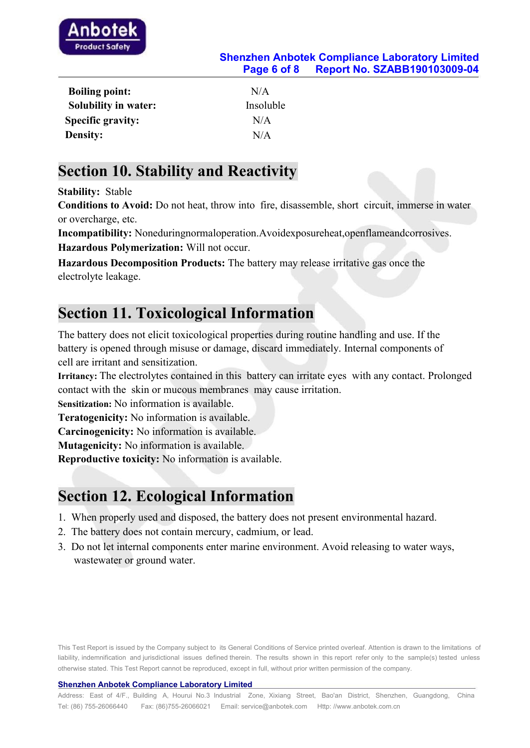

#### **Shenzhen Anbotek Compliance Laboratory Limited Page 6 of 8 Report No. SZABB190103009-04**

| <b>Boiling point:</b>       | N/A       |
|-----------------------------|-----------|
| <b>Solubility in water:</b> | Insoluble |
| <b>Specific gravity:</b>    | N/A       |
| <b>Density:</b>             | N/A       |

#### **Section 10. Stability and Reactivity**

**Stability:** Stable

**Conditions to Avoid:**Do not heat, throw into fire, disassemble, short circuit, immerse in water or overcharge, etc.

**Incompatibility:** Noneduringnormaloperation.Avoidexposureheat,openflameandcorrosives.

**Hazardous Polymerization:** Will not occur.

**Hazardous Decomposition Products:** The battery may release irritative gas once the electrolyte leakage.

## **Section 11. Toxicological Information**

The battery does not elicit toxicological properties during routine handling and use. If the battery is opened through misuse or damage, discard immediately. Internal components of cell are irritant and sensitization.

**Irritancy:** The electrolytes contained in this battery can irritate eyes with any contact. Prolonged contact with the skin or mucous membranes may cause irritation.

**Sensitization:** No information is available.

**Teratogenicity:** No information is available.

**Carcinogenicity:** No information is available.

**Mutagenicity:** No information is available.

**Reproductive toxicity:** No information is available.

# **Section 12. Ecological Information**

- 1. When properly used and disposed, the battery does not present environmental hazard.
- 2. The battery does not contain mercury, cadmium, or lead.
- 3. Do not let internal components enter marine environment. Avoid releasing to water ways, wastewater or ground water.

This Test Report is issued by the Company subject to its General Conditions of Service printed overleaf. Attention is drawn to the limitations of liability, indemnification and jurisdictional issues defined therein. The results shown in this report refer only to the sample(s) tested unless otherwise stated. This Test Report cannot be reproduced, except in full, withoutprior written permission of the company.

#### **Shenzhen Anbotek Compliance Laboratory Limited**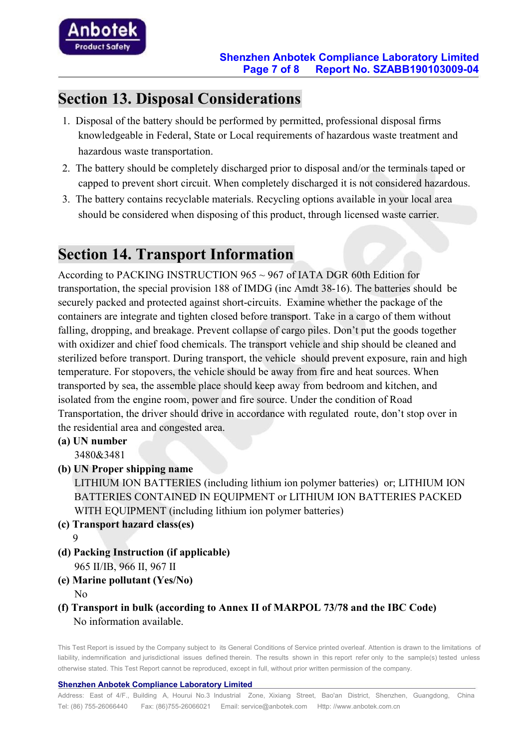

### **Section 13. Disposal Considerations**

- 1. Disposal of the battery should be performed by permitted, professional disposal firms knowledgeable in Federal, State or Local requirements of hazardous waste treatment and hazardous waste transportation.
- 2. The battery should be completely discharged prior to disposal and/or the terminals taped or capped to prevent short circuit. When completely discharged it is not considered hazardous.
- 3. The battery contains recyclable materials. Recycling options available in your localarea should be considered when disposing of this product, through licensed waste carrier.

## **Section 14. Transport Information**

According to PACKING INSTRUCTION 965 ~ 967 of IATA DGR 60th Edition for transportation, the special provision 188 of IMDG (inc Amdt 38-16). The batteries should be securely packed and protected against short-circuits. Examine whether the package of the containers are integrate and tighten closed before transport. Take in a cargo of them without falling, dropping, and breakage. Prevent collapse of cargo piles. Don't put the goods together with oxidizer and chief food chemicals. The transport vehicle and ship should be cleaned and sterilized before transport. During transport, the vehicle should prevent exposure, rain and high temperature. For stopovers, the vehicle should be away from fire and heat sources. When transported by sea, the assemble place should keep away from bedroom and kitchen, and isolated from the engine room, power and fire source. Under the condition of Road Transportation, the driver should drive in accordance with regulated route, don't stop over in the residential area and congested area.

- **(a) UN number** 3480&3481
- **(b) UN Proper shipping name**

LITHIUM ION BATTERIES (including lithium ion polymer batteries) or; LITHIUM ION BATTERIES CONTAINED IN EQUIPMENT or LITHIUM ION BATTERIES PACKED WITH EQUIPMENT (including lithium ion polymer batteries)

- **(c) Transport hazard class(es)** 9
- **(d) Packing Instruction (if applicable)** 965 II/IB, 966 II, 967 II
- **(e) Marine pollutant (Yes/No)** No service that the service of  $\mathcal{N}$  and  $\mathcal{N}$  are the series of  $\mathcal{N}$  and  $\mathcal{N}$  are the series of  $\mathcal{N}$  and  $\mathcal{N}$  are the series of  $\mathcal{N}$  and  $\mathcal{N}$  are the series of  $\mathcal{N}$  and  $\mathcal{N}$  are the s
- **(f) Transport in bulk (according to Annex II ofMARPOL 73/78 and the IBC Code)** No information available.

This Test Report is issued by the Company subject to its General Conditions of Service printed overleaf. Attention is drawn to the limitations of liability, indemnification and jurisdictional issues defined therein. The results shown in this report refer only to the sample(s) tested unless otherwise stated. This Test Report cannot be reproduced, except in full, withoutprior written permission of the company.

#### **Shenzhen Anbotek Compliance Laboratory Limited**